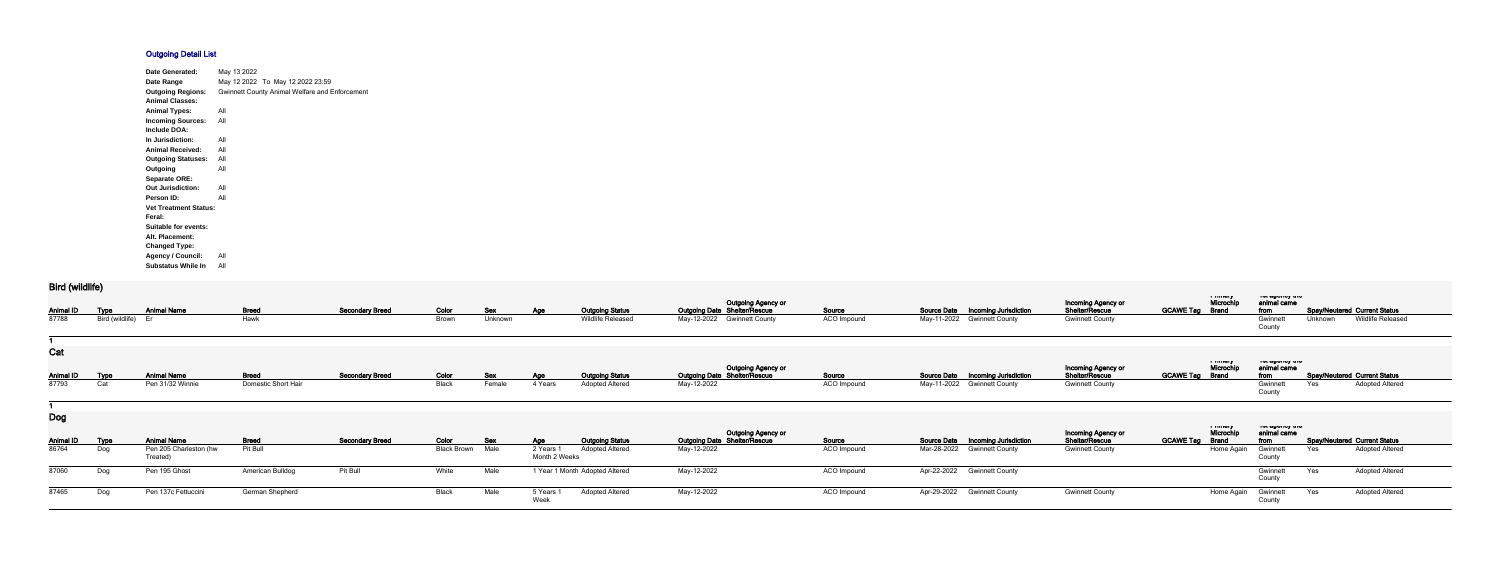## **Outgoing Detail List**

| <b>Date Generated:</b>       | May 13 2022                                           |
|------------------------------|-------------------------------------------------------|
| Date Range                   | May 12 2022 To May 12 2022 23:59                      |
| <b>Outgoing Regions:</b>     | <b>Gwinnett County Animal Welfare and Enforcement</b> |
| <b>Animal Classes:</b>       |                                                       |
| <b>Animal Types:</b>         | All                                                   |
| <b>Incoming Sources:</b>     | All                                                   |
| Include DOA:                 |                                                       |
| In Jurisdiction:             | All                                                   |
| <b>Animal Received:</b>      | All                                                   |
| <b>Outgoing Statuses:</b>    | All                                                   |
| Outgoing                     | All                                                   |
| <b>Separate ORE:</b>         |                                                       |
| <b>Out Jurisdiction:</b>     | All                                                   |
| Person ID:                   | All                                                   |
| <b>Vet Treatment Status:</b> |                                                       |
| Feral:                       |                                                       |
| Suitable for events:         |                                                       |
| Alt. Placement:              |                                                       |
| <b>Changed Type:</b>         |                                                       |
| <b>Agency / Council:</b>     | All                                                   |
| <b>Substatus While In</b>    | All                                                   |

## **Bird (wildlife)**

| $PII$ ununuo              |                    |                                                          |                          |                        |                             |                    |                                          |                                                  |                                                                  |                       |                                                                                             |                                          |                                                |                                        |         |                                                               |
|---------------------------|--------------------|----------------------------------------------------------|--------------------------|------------------------|-----------------------------|--------------------|------------------------------------------|--------------------------------------------------|------------------------------------------------------------------|-----------------------|---------------------------------------------------------------------------------------------|------------------------------------------|------------------------------------------------|----------------------------------------|---------|---------------------------------------------------------------|
| <b>Animal ID</b>          | <u>Type</u>        | <b>Animal Name</b>                                       | <b>Breed</b>             | <b>Secondary Breed</b> | Color                       | <b>Sex</b>         | <b>Age</b>                               | <b>Outgoing Status</b>                           | <b>Outgoing Agency or</b><br><b>Outgoing Date Shelter/Rescue</b> | Source                | Source Date  Incoming Jurisdiction                                                          | Incoming Agency or<br>Shelter/Rescue     | i musiq<br>Microchip<br><b>GCAWE Tag Brand</b> | יייי ששטייט איי<br>animal came<br>from |         | <b>Spay/Neutered Current Status</b>                           |
| 87788                     | Bird (wildlife)    |                                                          | Hawk                     |                        | Brown                       | Unknown            |                                          | Wildlife Released                                | May-12-2022<br><b>Gwinnett County</b>                            | ACO Impound           | May-11-2022 Gwinnett County                                                                 | <b>Gwinnett County</b>                   |                                                | Gwinnet<br>County                      | Unknown | Wildlife Released                                             |
|                           |                    |                                                          |                          |                        |                             |                    |                                          |                                                  |                                                                  |                       |                                                                                             |                                          |                                                |                                        |         |                                                               |
| Cat<br><b>Animal ID</b>   |                    | <b>Animal Name</b>                                       | <b>Breed</b>             | <b>Secondary Breed</b> | Color                       |                    |                                          | <b>Outgoing Status</b>                           | Outgoing Agency or<br>Outgoing Date Shelter/Rescue               | Source                | Source Date  Incoming Jurisdiction                                                          | Incoming Agency or<br>Shelter/Rescue     | a musiq<br>Microchip<br><b>GCAWE Tag Brand</b> | ו סג טשטווטץ גווט<br>animal came       |         | <b>Spay/Neutered Current Status</b>                           |
| 87793                     | Type<br>Cat        | Pen 31/32 Winnie                                         | Domestic Short Hair      |                        | Black                       | Sex<br>Female      | <b>Age</b><br>4 Years                    | <b>Adopted Altered</b>                           | May-12-2022                                                      | ACO Impound           | May-11-2022 Gwinnett County                                                                 | <b>Gwinnett County</b>                   |                                                | from<br>Gwinnet<br>County              | Yes     | <b>Adopted Altered</b>                                        |
|                           |                    |                                                          |                          |                        |                             |                    |                                          |                                                  |                                                                  |                       |                                                                                             |                                          |                                                |                                        |         |                                                               |
| <b>Dog</b>                |                    |                                                          |                          |                        |                             |                    |                                          |                                                  | Outgoing Agency or<br>Outgoing Date Shelter/Rescue               |                       |                                                                                             | Incoming Agency or                       | i musiq<br>Microchip                           | ו סג טשטווטץ נוויס<br>animal came      |         |                                                               |
| <b>Animal ID</b><br>86764 | <b>Type</b><br>Dog | <b>Animal Name</b><br>Pen 205 Charleston (hw<br>Treated) | <b>Breed</b><br>Pit Bull | <b>Secondary Breed</b> | Color<br><b>Black Brown</b> | <b>Sex</b><br>Male | <u>Age</u><br>2 Years 1<br>Month 2 Weeks | <b>Outgoing Status</b><br><b>Adopted Altered</b> | May-12-2022                                                      | Source<br>ACO Impound | <b>Source Date</b><br><b>Incoming Jurisdiction</b><br>Mar-28-2022<br><b>Gwinnett County</b> | Shelter/Rescue<br><b>Gwinnett County</b> | <b>GCAWE Tag</b><br><b>Brand</b><br>Home Again | from<br>Gwinnet<br>County              | Yes     | <b>Spay/Neutered Current Status</b><br><b>Adopted Altered</b> |
| 87060                     | Dog                | Pen 195 Ghost                                            | American Bulldog         | Pit Bull               | White                       | Male               |                                          | 1 Year 1 Month Adopted Altered                   | May-12-2022                                                      | ACO Impound           | Apr-22-2022 Gwinnett County                                                                 |                                          |                                                | Gwinnett<br>County                     | Yes     | <b>Adopted Altered</b>                                        |
| 87465                     | Dog                | Pen 137c Fettuccini                                      | German Shepherd          |                        | Black                       | Male               | 5 Years<br>Week                          | <b>Adopted Altered</b>                           | May-12-2022                                                      | ACO Impound           | Apr-29-2022 Gwinnett County                                                                 | <b>Gwinnett County</b>                   | Home Again                                     | Gwinnett<br>County                     | Yes     | <b>Adopted Altered</b>                                        |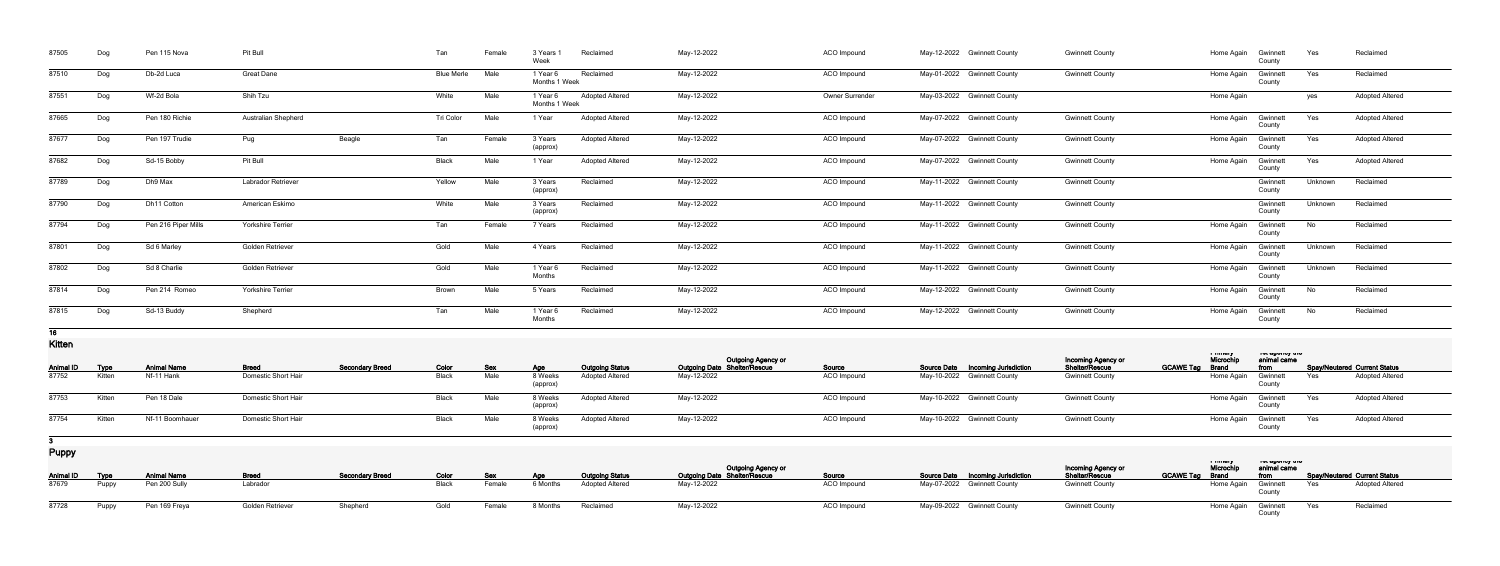| 87505  | Dog | Pen 115 Nova        | Pit Bull                   |        | Tan               | Female | 3 Years<br>Week           | Reclaimed              | May-12-2022 | ACO Impound        | May-12-2022 Gwinnett County | <b>Gwinnett County</b> | Home Again | Gwinnett<br>County | Yes     | Reclaimed              |
|--------|-----|---------------------|----------------------------|--------|-------------------|--------|---------------------------|------------------------|-------------|--------------------|-----------------------------|------------------------|------------|--------------------|---------|------------------------|
| 87510  | Dog | Db-2d Luca          | <b>Great Dane</b>          |        | <b>Blue Merle</b> | Male   | 1 Year 6<br>Months 1 Week | Reclaimed              | May-12-2022 | ACO Impound        | May-01-2022 Gwinnett County | <b>Gwinnett County</b> | Home Again | Gwinnet<br>County  | Yes     | Reclaimed              |
| 87551  | Dog | Wf-2d Bola          | Shih Tzu                   |        | White             | Male   | 1 Year 6<br>Months 1 Week | <b>Adopted Altered</b> | May-12-2022 | Owner Surrender    | May-03-2022 Gwinnett County |                        | Home Again |                    | yes     | <b>Adopted Altered</b> |
| 87665  | Dog | Pen 180 Richie      | <b>Australian Shepherd</b> |        | Tri Color         | Male   | 1 Year                    | <b>Adopted Altered</b> | May-12-2022 | ACO Impound        | May-07-2022 Gwinnett County | <b>Gwinnett County</b> | Home Again | Gwinnett<br>County | Yes     | <b>Adopted Altered</b> |
| 87677  | Dog | Pen 197 Trudie      | Pug                        | Beagle | Tan               | Female | 3 Years<br>(approx)       | <b>Adopted Altered</b> | May-12-2022 | <b>ACO</b> Impound | May-07-2022 Gwinnett County | <b>Gwinnett County</b> | Home Again | Gwinnet<br>County  | Yes     | <b>Adopted Altered</b> |
| 87682  | Dog | Sd-15 Bobby         | Pit Bull                   |        | Black             | Male   | 1 Year                    | <b>Adopted Altered</b> | May-12-2022 | ACO Impound        | May-07-2022 Gwinnett County | <b>Gwinnett County</b> | Home Again | Gwinnet<br>County  | Yes     | <b>Adopted Altered</b> |
| 87789  | Dog | Dh9 Max             | Labrador Retriever         |        | Yellow            | Male   | 3 Years<br>(approx)       | Reclaimed              | May-12-2022 | ACO Impound        | May-11-2022 Gwinnett County | <b>Gwinnett County</b> |            | Gwinnet<br>County  | Unknown | Reclaimed              |
| 87790  | Dog | Dh11 Cotton         | American Eskimo            |        | White             | Male   | 3 Years<br>(approx)       | Reclaimed              | May-12-2022 | ACO Impound        | May-11-2022 Gwinnett County | <b>Gwinnett County</b> |            | Gwinnet<br>County  | Unknown | Reclaimed              |
| 87794  | Dog | Pen 216 Piper Mills | <b>Yorkshire Terrier</b>   |        | Tan               | Female | 7 Years                   | Reclaimed              | May-12-2022 | ACO Impound        | May-11-2022 Gwinnett County | <b>Gwinnett County</b> | Home Again | Gwinnett<br>County | No      | Reclaimed              |
| 87801  | Dog | Sd 6 Marley         | Golden Retriever           |        | Gold              | Male   | 4 Years                   | Reclaimed              | May-12-2022 | ACO Impound        | May-11-2022 Gwinnett County | <b>Gwinnett County</b> | Home Again | Gwinnet<br>County  | Unknown | Reclaimed              |
| 87802  | Dog | Sd 8 Charlie        | Golden Retriever           |        | Gold              | Male   | 1 Year 6<br>Months        | Reclaimed              | May-12-2022 | <b>ACO</b> Impound | May-11-2022 Gwinnett County | <b>Gwinnett County</b> | Home Again | Gwinnet<br>County  | Unknown | Reclaimed              |
| 87814  | Dog | Pen 214 Romeo       | <b>Yorkshire Terrier</b>   |        | Brown             | Male   | 5 Years                   | Reclaimed              | May-12-2022 | ACO Impound        | May-12-2022 Gwinnett County | <b>Gwinnett County</b> | Home Again | Gwinnet<br>County  | No      | Reclaimed              |
| 87815  | Dog | Sd-13 Buddy         | Shepherd                   |        | Tan               | Male   | 1 Year 6<br>Months        | Reclaimed              | May-12-2022 | ACO Impound        | May-12-2022 Gwinnett County | <b>Gwinnett County</b> | Home Again | Gwinnett<br>County | No      | Reclaimed              |
| $\sim$ |     |                     |                            |        |                   |        |                           |                        |             |                    |                             |                        |            |                    |         |                        |

**16**

**Kitten**

| <b>NILICII</b>   |        |                    |                     |                        |              |            |                    |                        |                                                                  |                    |                                   |                                      |                  |                                     |                                                 |     |                                     |  |
|------------------|--------|--------------------|---------------------|------------------------|--------------|------------|--------------------|------------------------|------------------------------------------------------------------|--------------------|-----------------------------------|--------------------------------------|------------------|-------------------------------------|-------------------------------------------------|-----|-------------------------------------|--|
| <b>Animal ID</b> | Type   | <b>Animal Name</b> | <b>Breed</b>        | <b>Secondary Breed</b> | <u>Color</u> | <b>Sex</b> | Age                | <b>Outgoing Status</b> | <b>Outgoing Agency or</b><br><b>Outgoing Date Shelter/Rescue</b> | <b>Source</b>      | Source Date Incoming Jurisdiction | Incoming Agency or<br>Shelter/Rescue | <b>GCAWE Tag</b> | i immury<br>Microch<br><b>Brand</b> | ו סג טאַ וויט אַ די וויס<br>animal came<br>from |     | <b>Spay/Neutered Current Status</b> |  |
| 87752            | Kitten | Nf-11 Hank         | Domestic Short Hair |                        | Black        | Male       | 8 Weeks<br>(approx | <b>Adopted Altered</b> | May-12-2022                                                      | <b>ACO</b> Impound | May-10-2022 Gwinnett County       | <b>Gwinnett County</b>               |                  | Home Again                          | Gwinnett                                        | Yes | <b>Adopted Altered</b>              |  |
| 87753            | Kitten | Pen 18 Dale        | Domestic Short Hair |                        | 3lack        | Male       | 8 Weeks<br>(approx | <b>Adopted Altered</b> | May-12-2022                                                      | <b>ACO</b> Impound | May-10-2022 Gwinnett County       | <b>Gwinnett County</b>               |                  | Home Again                          | Gwinnett                                        | Yes | <b>Adopted Altered</b>              |  |
| 87754            | Kitten | Nf-11 Boomhauer    | Domestic Short Hair |                        | Black        | Male       | 8 Weeks<br>(approx | <b>Adopted Altered</b> | May-12-2022                                                      | ACO Impound        | May-10-2022 Gwinnett County       | <b>Gwinnett County</b>               |                  | Home Again                          | Gwinnett                                        | Yes | <b>Adopted Altered</b>              |  |

**3**

**Puppy**

| $\blacksquare$        |       |                    |                  |                        |       |            |          |                        | <b>Outgoing Agency or</b>    |                    |                                          |                                      | i musu<br>Microchip    | יסו טשטווטץ גווס<br>animal came                    |                   |                                     |
|-----------------------|-------|--------------------|------------------|------------------------|-------|------------|----------|------------------------|------------------------------|--------------------|------------------------------------------|--------------------------------------|------------------------|----------------------------------------------------|-------------------|-------------------------------------|
| <b>Animal ID Type</b> |       | <b>Animal Name</b> | <b>Breed</b>     | <b>Secondary Breed</b> | Color | <b>Sex</b> | Age      | <b>Outgoing Status</b> | Outgoing Date Shelter/Rescue | Source             | <b>Source Date Incoming Jurisdiction</b> | Incoming Agency or<br>Shelter/Rescue | <b>GCAWE Tag Brand</b> | $\frac{1}{2}$ and $\frac{1}{2}$ from $\frac{1}{2}$ |                   | <b>Spay/Neutered Current Status</b> |
| 87679                 | Puppy | Pen 200 Sully      | Labrador         |                        | Black | Female     | 6 Months | <b>Adopted Altered</b> | May-12-2022                  | ACO Impound        | May-07-2022 Gwinnett County              | <b>Gwinnett County</b>               | Home Again Gwinnett    |                                                    | Yes               | Adopted Altered                     |
| 87728                 | Puppy | Pen 169 Freya      | Golden Retriever | Shepherd               | Gold  | Female     | 8 Months | Reclaimed              | May-12-2022                  | <b>ACO Impound</b> | May-09-2022 Gwinnett County              | <b>Gwinnett County</b>               | Home Again Gwinnett    |                                                    | <b>Parage Yes</b> | Reclaimed                           |